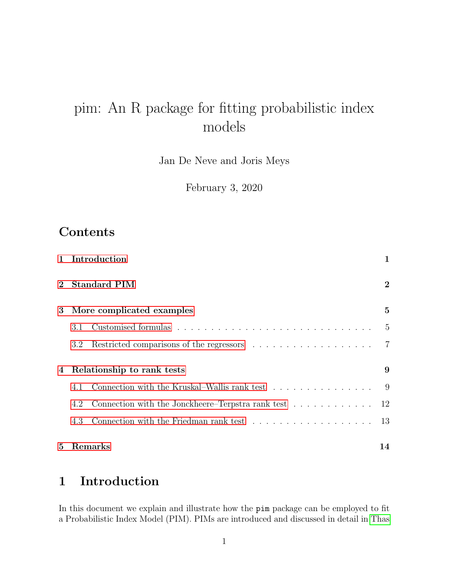# pim: An R package for fitting probabilistic index models

Jan De Neve and Joris Meys

February 3, 2020

## Contents

|                | 1 Introduction                                                                     |                |  |  |  |
|----------------|------------------------------------------------------------------------------------|----------------|--|--|--|
| $\overline{2}$ | <b>Standard PIM</b>                                                                |                |  |  |  |
| 3              | More complicated examples                                                          | $\overline{5}$ |  |  |  |
|                | 3.1                                                                                | $\frac{5}{2}$  |  |  |  |
|                | 3.2                                                                                | 7              |  |  |  |
| 4              | 9                                                                                  |                |  |  |  |
|                | Connection with the Kruskal–Wallis rank test<br>4.1                                | 9              |  |  |  |
|                | Connection with the Jonckheere–Terpstra rank test $\dots \dots \dots \dots$<br>4.2 | 12             |  |  |  |
|                | 4.3                                                                                | 13             |  |  |  |
| 5              | Remarks                                                                            | 14             |  |  |  |

## <span id="page-0-0"></span>1 Introduction

In this document we explain and illustrate how the pim package can be employed to fit a Probabilistic Index Model (PIM). PIMs are introduced and discussed in detail in [Thas](#page-14-0)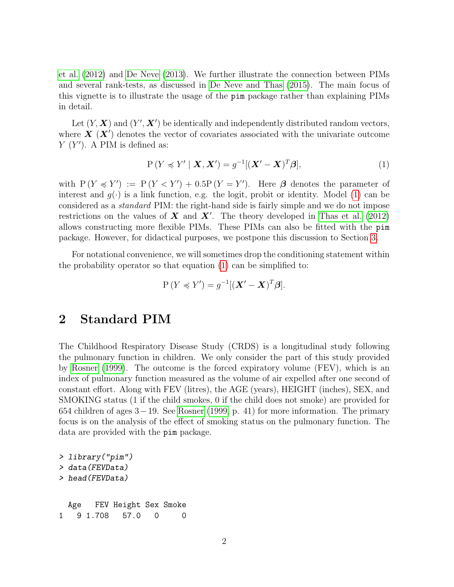[et al.](#page-14-0) [\(2012\)](#page-14-0) and [De Neve](#page-14-1) [\(2013\)](#page-14-1). We further illustrate the connection between PIMs and several rank-tests, as discussed in [De Neve and Thas](#page-14-2) [\(2015\)](#page-14-2). The main focus of this vignette is to illustrate the usage of the pim package rather than explaining PIMs in detail.

Let  $(Y, X)$  and  $(Y', X')$  be identically and independently distributed random vectors, where  $\mathbf{X}^{\prime}(\mathbf{X}^{\prime})$  denotes the vector of covariates associated with the univariate outcome  $Y(Y')$ . A PIM is defined as:

<span id="page-1-1"></span>
$$
P(Y \preccurlyeq Y' \mid \boldsymbol{X}, \boldsymbol{X}') = g^{-1}[(\boldsymbol{X}' - \boldsymbol{X})^T \boldsymbol{\beta}], \tag{1}
$$

with  $P(Y \preccurlyeq Y') := P(Y \preccurlyeq Y') + 0.5P(Y = Y')$ . Here  $\beta$  denotes the parameter of interest and  $q(\cdot)$  is a link function, e.g. the logit, probit or identity. Model [\(1\)](#page-1-1) can be considered as a standard PIM: the right-hand side is fairly simple and we do not impose restrictions on the values of  $\boldsymbol{X}$  and  $\boldsymbol{X}'$ . The theory developed in [Thas et al.](#page-14-0) [\(2012\)](#page-14-0) allows constructing more flexible PIMs. These PIMs can also be fitted with the pim package. However, for didactical purposes, we postpone this discussion to Section [3.](#page-4-0)

For notational convenience, we will sometimes drop the conditioning statement within the probability operator so that equation [\(1\)](#page-1-1) can be simplified to:

$$
P(Y \preccurlyeq Y') = g^{-1}[(\mathbf{X}' - \mathbf{X})^T \boldsymbol{\beta}].
$$

## <span id="page-1-0"></span>2 Standard PIM

The Childhood Respiratory Disease Study (CRDS) is a longitudinal study following the pulmonary function in children. We only consider the part of this study provided by [Rosner](#page-14-3) [\(1999\)](#page-14-3). The outcome is the forced expiratory volume (FEV), which is an index of pulmonary function measured as the volume of air expelled after one second of constant effort. Along with FEV (litres), the AGE (years), HEIGHT (inches), SEX, and SMOKING status (1 if the child smokes, 0 if the child does not smoke) are provided for 654 children of ages 3−19. See [Rosner](#page-14-3) [\(1999,](#page-14-3) p. 41) for more information. The primary focus is on the analysis of the effect of smoking status on the pulmonary function. The data are provided with the pim package.

```
> library("pim")
> data(FEVData)
> head(FEVData)
 Age FEV Height Sex Smoke
1 9 1.708 57.0 0 0
```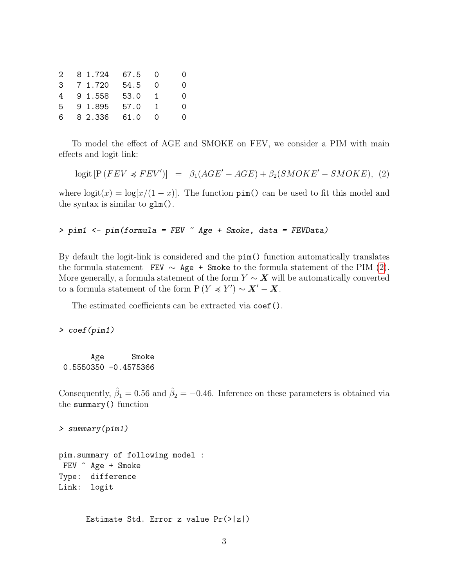|       | 2 8 1.724 67.5 |      | $\bigcirc$     | 0 |
|-------|----------------|------|----------------|---|
|       | 3 7 1.720      | 54.5 | $\bigcirc$     | 0 |
|       | 4 9 1.558      | 53.0 | $\overline{1}$ | 0 |
| $5 -$ | 9 1.895        | 57.0 | $\blacksquare$ | 0 |
|       | 6 8 2.336      | 61.0 | - 0            | 0 |

To model the effect of AGE and SMOKE on FEV, we consider a PIM with main effects and logit link:

<span id="page-2-0"></span>
$$
logit [P (FEV \preccurlyeq FEV')] = \beta_1 (AGE' - AGE) + \beta_2 (SMOKE' - SMOKE), (2)
$$

where  $logit(x) = log[x/(1-x)]$ . The function  $\text{pin}()$  can be used to fit this model and the syntax is similar to glm().

> pim1 <- pim(formula = FEV ~ Age + Smoke, data = FEVData)

By default the logit-link is considered and the pim() function automatically translates the formula statement FEV  $\sim$  Age + Smoke to the formula statement of the PIM [\(2\)](#page-2-0). More generally, a formula statement of the form  $Y \sim X$  will be automatically converted to a formula statement of the form  $P(Y \preccurlyeq Y') \sim X' - X$ .

The estimated coefficients can be extracted via coef().

> coef(pim1)

Age Smoke 0.5550350 -0.4575366

Consequently,  $\hat{\beta}_1 = 0.56$  and  $\hat{\beta}_2 = -0.46$ . Inference on these parameters is obtained via the summary() function

> summary(pim1)

pim.summary of following model : FEV ~ Age + Smoke Type: difference Link: logit

Estimate Std. Error z value Pr(>|z|)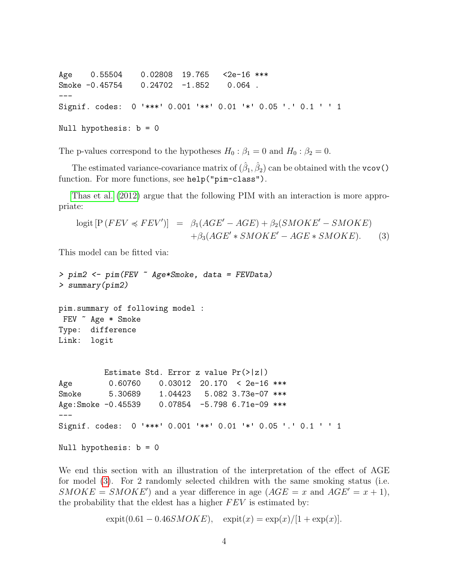Age 0.55504 0.02808 19.765 <2e-16 \*\*\* Smoke -0.45754 0.24702 -1.852 0.064. --- Signif. codes: 0 '\*\*\*' 0.001 '\*\*' 0.01 '\*' 0.05 '.' 0.1 ' ' <sup>1</sup>

Null hypothesis: b = 0

The p-values correspond to the hypotheses  $H_0: \beta_1 = 0$  and  $H_0: \beta_2 = 0$ .

The estimated variance-covariance matrix of  $(\hat{\beta}_1, \hat{\beta}_2)$  can be obtained with the vcov() function. For more functions, see help("pim-class").

[Thas et al.](#page-14-0) [\(2012\)](#page-14-0) argue that the following PIM with an interaction is more appropriate:

<span id="page-3-0"></span>
$$
logit [P (FEV \preccurlyeq FEV')] = \beta_1 (AGE' - AGE) + \beta_2 (SMOKE' - SMOKE) + \beta_3 (AGE' * SMOKE' - AGE * SMOKE). \tag{3}
$$

This model can be fitted via:

```
> pim2 <- pim(FEV ~ Age*Smoke, data = FEVData)
> summary(pim2)
pim.summary of following model :
FEV ~ Age * Smoke
Type: difference
Link: logit
         Estimate Std. Error z value Pr(>|z|)
Age 0.60760 0.03012 20.170 < 2e-16 ***
Smoke 5.30689 1.04423 5.082 3.73e-07 ***
Age:Smoke -0.45539 0.07854 -5.798 6.71e-09 ***
---
Signif. codes: 0 '***' 0.001 '**' 0.01 '*' 0.05 '.' 0.1 ' ' 1
Null hypothesis: b = 0
```
We end this section with an illustration of the interpretation of the effect of AGE for model [\(3\)](#page-3-0). For 2 randomly selected children with the same smoking status (i.e.  $SMOKE = SMOKE'$  and a year difference in age  $(AGE = x$  and  $AGE' = x + 1)$ , the probability that the eldest has a higher  $FEV$  is estimated by:

 $\expit(0.61 - 0.46SMOKE), \quad \expit(x) = \exp(x)/[1 + \exp(x)].$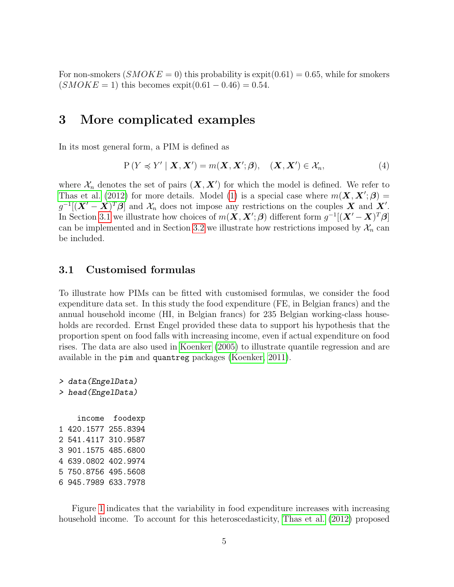For non-smokers  $(SMOKE = 0)$  this probability is expit $(0.61) = 0.65$ , while for smokers  $(SMOKE = 1)$  this becomes expit $(0.61 - 0.46) = 0.54$ .

### <span id="page-4-0"></span>3 More complicated examples

In its most general form, a PIM is defined as

<span id="page-4-2"></span>
$$
P(Y \preccurlyeq Y' | \mathbf{X}, \mathbf{X}') = m(\mathbf{X}, \mathbf{X}'; \boldsymbol{\beta}), \quad (\mathbf{X}, \mathbf{X}') \in \mathcal{X}_n,\tag{4}
$$

where  $\mathcal{X}_n$  denotes the set of pairs  $(\mathbf{X}, \mathbf{X}')$  for which the model is defined. We refer to [Thas et al.](#page-14-0) [\(2012\)](#page-14-0) for more details. Model [\(1\)](#page-1-1) is a special case where  $m(\mathbf{X}, \mathbf{X}'; \boldsymbol{\beta}) =$  $g^{-1}[(\boldsymbol{X}'-\boldsymbol{X})^T\boldsymbol{\beta}]$  and  $\mathcal{X}_n$  does not impose any restrictions on the couples  $\boldsymbol{X}$  and  $\boldsymbol{X}'$ . In Section [3.1](#page-4-1) we illustrate how choices of  $m(\mathbf{X}, \mathbf{X}'; \boldsymbol{\beta})$  different form  $g^{-1}[(\mathbf{X}' - \mathbf{X})^T \boldsymbol{\beta}]$ can be implemented and in Section [3.2](#page-6-0) we illustrate how restrictions imposed by  $\mathcal{X}_n$  can be included.

#### <span id="page-4-1"></span>3.1 Customised formulas

To illustrate how PIMs can be fitted with customised formulas, we consider the food expenditure data set. In this study the food expenditure (FE, in Belgian francs) and the annual household income (HI, in Belgian francs) for 235 Belgian working-class households are recorded. Ernst Engel provided these data to support his hypothesis that the proportion spent on food falls with increasing income, even if actual expenditure on food rises. The data are also used in [Koenker](#page-14-4) [\(2005\)](#page-14-4) to illustrate quantile regression and are available in the pim and quantreg packages [\(Koenker, 2011\)](#page-14-5).

```
> data(EngelData)
> head(EngelData)
    income foodexp
1 420.1577 255.8394
2 541.4117 310.9587
3 901.1575 485.6800
4 639.0802 402.9974
5 750.8756 495.5608
6 945.7989 633.7978
```
Figure [1](#page-5-0) indicates that the variability in food expenditure increases with increasing household income. To account for this heteroscedasticity, [Thas et al.](#page-14-0) [\(2012\)](#page-14-0) proposed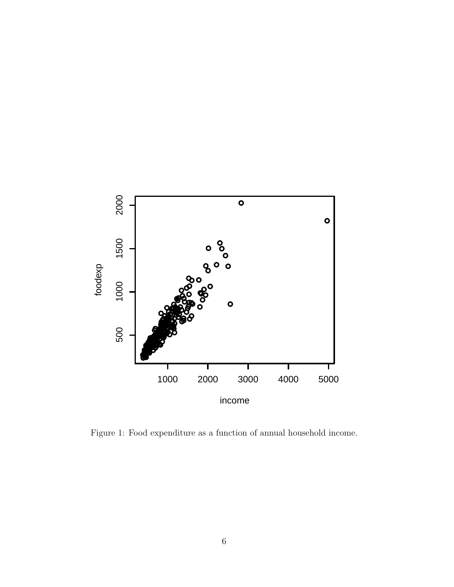

<span id="page-5-0"></span>Figure 1: Food expenditure as a function of annual household income.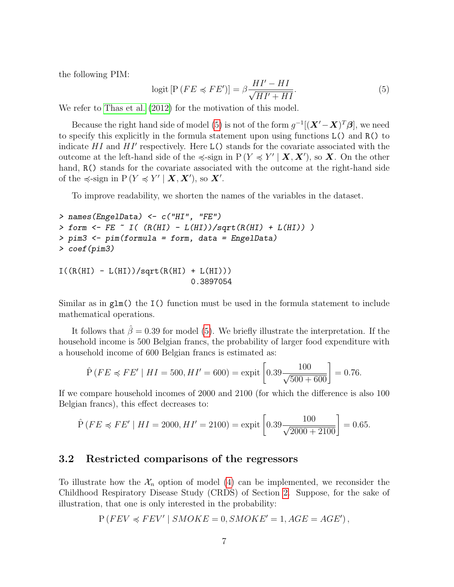the following PIM:

<span id="page-6-1"></span>
$$
logit [P (FE \preccurlyeq FE')] = \beta \frac{HI' - HI}{\sqrt{HI' + HI}}.\tag{5}
$$

We refer to [Thas et al.](#page-14-0)  $(2012)$  for the motivation of this model.

Because the right hand side of model [\(5\)](#page-6-1) is not of the form  $g^{-1}[(\boldsymbol{X}' - \boldsymbol{X})^T\boldsymbol{\beta}]$ , we need to specify this explicitly in the formula statement upon using functions L() and R() to indicate  $HI$  and  $HI'$  respectively. Here L() stands for the covariate associated with the outcome at the left-hand side of the  $\preccurlyeq$ -sign in  $P(Y \preccurlyeq Y' | X, X')$ , so X. On the other hand,  $R()$  stands for the covariate associated with the outcome at the right-hand side of the  $\preccurlyeq$ -sign in  $P(Y \preccurlyeq Y' | X, X')$ , so X'.

To improve readability, we shorten the names of the variables in the dataset.

```
> names(EngelData) <- c("HI", "FE")
> form \leq FE \sim I( (R(HI) - L(HI))/sqrt(R(HI) + L(HI)))
> pim3 <- pim(formula = form, data = EngelData)
> coef(pim3)
I((R(HI) - L(HI))/sqrt(R(HI) + L(HI)))
```
Similar as in glm() the I() function must be used in the formula statement to include mathematical operations.

0.3897054

It follows that  $\hat{\beta} = 0.39$  for model [\(5\)](#page-6-1). We briefly illustrate the interpretation. If the household income is 500 Belgian francs, the probability of larger food expenditure with a household income of 600 Belgian francs is estimated as:

$$
\hat{P}(FE \preccurlyeq FE' \mid HI = 500, HI' = 600) = \text{expit}\left[0.39 \frac{100}{\sqrt{500 + 600}}\right] = 0.76.
$$

If we compare household incomes of 2000 and 2100 (for which the difference is also 100 Belgian francs), this effect decreases to:

$$
\hat{P}(FE \preccurlyeq FE' \mid HI = 2000, HI' = 2100) = \text{expit}\left[0.39 \frac{100}{\sqrt{2000 + 2100}}\right] = 0.65.
$$

#### <span id="page-6-0"></span>3.2 Restricted comparisons of the regressors

To illustrate how the  $\mathcal{X}_n$  option of model [\(4\)](#page-4-2) can be implemented, we reconsider the Childhood Respiratory Disease Study (CRDS) of Section [2.](#page-1-0) Suppose, for the sake of illustration, that one is only interested in the probability:

$$
P (FEV \preccurlyeq FEV' | SMOKE = 0, SMOKE' = 1, AGE = AGE'),
$$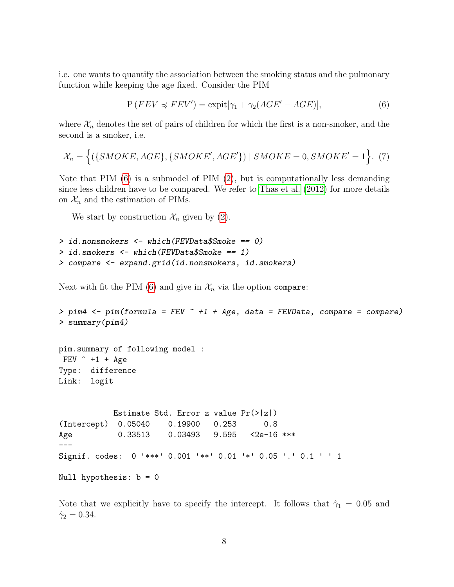i.e. one wants to quantify the association between the smoking status and the pulmonary function while keeping the age fixed. Consider the PIM

<span id="page-7-0"></span>
$$
P(FEV \preccurlyeq FEV') = \text{expit}[\gamma_1 + \gamma_2(AGE' - AGE)],\tag{6}
$$

where  $\mathcal{X}_n$  denotes the set of pairs of children for which the first is a non-smoker, and the second is a smoker, i.e.

$$
\mathcal{X}_n = \Big\{ (\{SMOKE,AGE\}, \{SMOKE',AGE'\}) \mid SMOKE = 0, SMOKE' = 1 \Big\}. \tag{7}
$$

Note that PIM  $(6)$  is a submodel of PIM  $(2)$ , but is computationally less demanding since less children have to be compared. We refer to [Thas et al.](#page-14-0) [\(2012\)](#page-14-0) for more details on  $\mathcal{X}_n$  and the estimation of PIMs.

We start by construction  $\mathcal{X}_n$  given by [\(2\)](#page-2-0).

```
> id.nonsmokers <- which(FEVData$Smoke == 0)
> id.smokers <- which(FEVData$Smoke == 1)
> compare <- expand.grid(id.nonsmokers, id.smokers)
```
Next with fit the PIM [\(6\)](#page-7-0) and give in  $\mathcal{X}_n$  via the option compare:

```
> pim4 <- pim(formula = FEV \tilde{ } +1 + Age, data = FEVData, compare = compare)
> summary(pim4)
pim.summary of following model :
FEV +1 + Age
Type: difference
Link: logit
           Estimate Std. Error z value Pr(>|z|)
(Intercept) 0.05040 0.19900 0.253 0.8
Age 0.33513 0.03493 9.595 <2e-16 ***
---
Signif. codes: 0 '***' 0.001 '**' 0.01 '*' 0.05 '.' 0.1 ' ' 1
Null hypothesis: b = 0
```
Note that we explicitly have to specify the intercept. It follows that  $\hat{\gamma}_1 = 0.05$  and  $\hat{\gamma}_2 = 0.34.$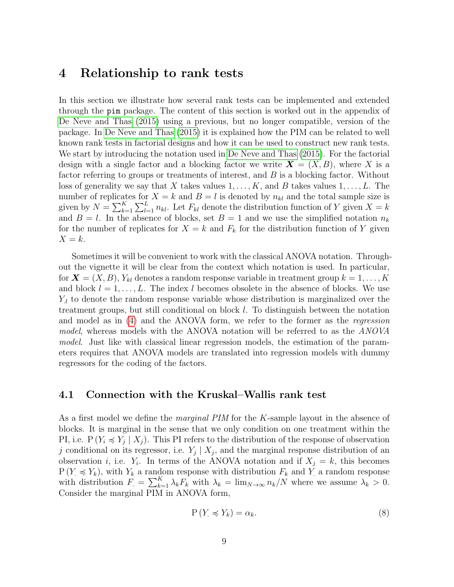### <span id="page-8-0"></span>4 Relationship to rank tests

In this section we illustrate how several rank tests can be implemented and extended through the pim package. The content of this section is worked out in the appendix of [De Neve and Thas](#page-14-2) [\(2015\)](#page-14-2) using a previous, but no longer compatible, version of the package. In [De Neve and Thas](#page-14-2) [\(2015\)](#page-14-2) it is explained how the PIM can be related to well known rank tests in factorial designs and how it can be used to construct new rank tests. We start by introducing the notation used in [De Neve and Thas](#page-14-2) [\(2015\)](#page-14-2). For the factorial design with a single factor and a blocking factor we write  $\mathbf{X} = (X, B)$ , where X is a factor referring to groups or treatments of interest, and B is a blocking factor. Without loss of generality we say that X takes values  $1, \ldots, K$ , and B takes values  $1, \ldots, L$ . The number of replicates for  $X = k$  and  $B = l$  is denoted by  $n_{kl}$  and the total sample size is given by  $N = \sum_{k=1}^{K} \sum_{l=1}^{L} n_{kl}$ . Let  $F_{kl}$  denote the distribution function of Y given  $X = k$ and  $B = l$ . In the absence of blocks, set  $B = 1$  and we use the simplified notation  $n_k$ for the number of replicates for  $X = k$  and  $F_k$  for the distribution function of Y given  $X = k$ .

Sometimes it will be convenient to work with the classical ANOVA notation. Throughout the vignette it will be clear from the context which notation is used. In particular, for  $\mathbf{X} = (X, B), Y_{kl}$  denotes a random response variable in treatment group  $k = 1, \ldots, K$ and block  $l = 1, \ldots, L$ . The index l becomes obsolete in the absence of blocks. We use  $Y_l$  to denote the random response variable whose distribution is marginalized over the treatment groups, but still conditional on block l. To distinguish between the notation and model as in [\(4\)](#page-4-2) and the ANOVA form, we refer to the former as the regression model, whereas models with the ANOVA notation will be referred to as the ANOVA model. Just like with classical linear regression models, the estimation of the parameters requires that ANOVA models are translated into regression models with dummy regressors for the coding of the factors.

#### <span id="page-8-1"></span>4.1 Connection with the Kruskal–Wallis rank test

As a first model we define the *marginal PIM* for the K-sample layout in the absence of blocks. It is marginal in the sense that we only condition on one treatment within the PI, i.e.  $P(Y_i \preccurlyeq Y_j | X_j)$ . This PI refers to the distribution of the response of observation j conditional on its regressor, i.e.  $Y_j | X_j$ , and the marginal response distribution of an observation *i*, i.e.  $Y_i$ . In terms of the ANOVA notation and if  $X_j = k$ , this becomes  $P(Y \preccurlyeq Y_k)$ , with  $Y_k$  a random response with distribution  $F_k$  and Y a random response with distribution  $F = \sum_{k=1}^{K} \lambda_k F_k$  with  $\lambda_k = \lim_{N \to \infty} n_k/N$  where we assume  $\lambda_k > 0$ . Consider the marginal PIM in ANOVA form,

<span id="page-8-2"></span>
$$
P(Y \preccurlyeq Y_k) = \alpha_k. \tag{8}
$$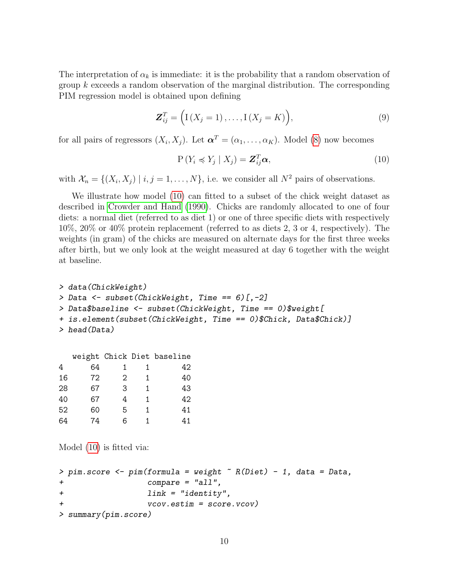The interpretation of  $\alpha_k$  is immediate: it is the probability that a random observation of group k exceeds a random observation of the marginal distribution. The corresponding PIM regression model is obtained upon defining

<span id="page-9-1"></span>
$$
\mathbf{Z}_{ij}^T = \Big( \mathbf{I} \left( X_j = 1 \right), \dots, \mathbf{I} \left( X_j = K \right) \Big), \tag{9}
$$

for all pairs of regressors  $(X_i, X_j)$ . Let  $\boldsymbol{\alpha}^T = (\alpha_1, \dots, \alpha_K)$ . Model [\(8\)](#page-8-2) now becomes

<span id="page-9-0"></span>
$$
P(Y_i \preccurlyeq Y_j \mid X_j) = \mathbf{Z}_{ij}^T \boldsymbol{\alpha},\tag{10}
$$

with  $\mathcal{X}_n = \{(X_i, X_j) \mid i, j = 1, \ldots, N\}$ , i.e. we consider all  $N^2$  pairs of observations.

We illustrate how model [\(10\)](#page-9-0) can fitted to a subset of the chick weight dataset as described in [Crowder and Hand](#page-13-1) [\(1990\)](#page-13-1). Chicks are randomly allocated to one of four diets: a normal diet (referred to as diet 1) or one of three specific diets with respectively 10%, 20% or 40% protein replacement (referred to as diets 2, 3 or 4, respectively). The weights (in gram) of the chicks are measured on alternate days for the first three weeks after birth, but we only look at the weight measured at day 6 together with the weight at baseline.

```
> data(ChickWeight)
> Data <- subset(ChickWeight, Time == 6)[,-2]
> Data$baseline <- subset(ChickWeight, Time == 0)$weight[
+ is.element(subset(ChickWeight, Time == 0)$Chick, Data$Chick)]
> head(Data)
```

|    |    |   |   | weight Chick Diet baseline |
|----|----|---|---|----------------------------|
| 4  | 64 | 1 |   | 42                         |
| 16 | 72 | 2 | 1 | 40                         |
| 28 | 67 | 3 | 1 | 43                         |
| 40 | 67 | 4 | 1 | 42                         |
| 52 | 60 | 5 | 1 | 41                         |
| 64 | 74 | 6 |   | 41                         |

Model [\(10\)](#page-9-0) is fitted via:

```
> pim.score <- pim(formula = weight \tilde{r} R(Diet) - 1, data = Data,
+ compare = "all",
+ link = "identity",
+ vcov.estim = score.vcov)
> summary(pim.score)
```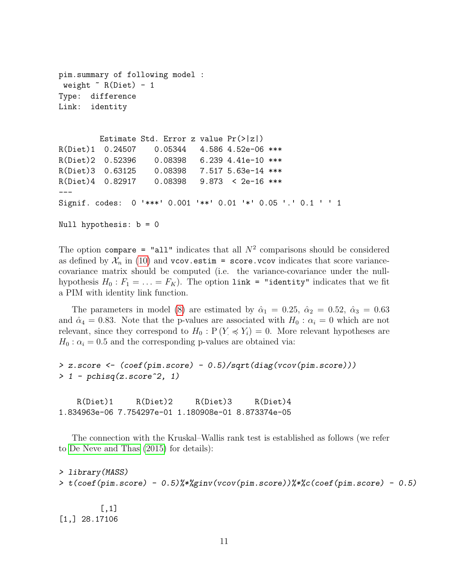```
pim.summary of following model :
 weight ~ R(Diet) - 1
Type: difference
Link: identity
        Estimate Std. Error z value Pr(>|z|)
R(Diet)1 0.24507 0.05344 4.586 4.52e-06 ***
R(Diet)2 0.52396 0.08398 6.239 4.41e-10 ***
R(Diet)3 0.63125 0.08398 7.517 5.63e-14 ***
R(Diet)4 0.82917 0.08398 9.873 < 2e-16 ***
---
Signif. codes: 0 '***' 0.001 '**' 0.01 '*' 0.05 '.' 0.1 ' ' 1
Null hypothesis: b = 0
```
The option compare = "all" indicates that all  $N^2$  comparisons should be considered as defined by  $\mathcal{X}_n$  in [\(10\)](#page-9-0) and vcov.estim = score.vcov indicates that score variancecovariance matrix should be computed (i.e. the variance-covariance under the nullhypothesis  $H_0: F_1 = \ldots = F_K$ ). The option link = "identity" indicates that we fit a PIM with identity link function.

The parameters in model [\(8\)](#page-8-2) are estimated by  $\hat{\alpha}_1 = 0.25, \hat{\alpha}_2 = 0.52, \hat{\alpha}_3 = 0.63$ and  $\hat{\alpha}_4 = 0.83$ . Note that the p-values are associated with  $H_0 : \alpha_i = 0$  which are not relevant, since they correspond to  $H_0: \mathbb{P}(Y \preccurlyeq Y_i) = 0$ . More relevant hypotheses are  $H_0$ :  $\alpha_i = 0.5$  and the corresponding p-values are obtained via:

```
> z.score <- (coef(pim.score) - 0.5)/sqrt(diag(vcov(pim.score)))
> 1 - pchisq(z.score^2, 1)
```
R(Diet)1 R(Diet)2 R(Diet)3 R(Diet)4 1.834963e-06 7.754297e-01 1.180908e-01 8.873374e-05

The connection with the Kruskal–Wallis rank test is established as follows (we refer to [De Neve and Thas](#page-14-2) [\(2015\)](#page-14-2) for details):

```
> library(MASS)
> t(coef(pim.score) - 0.5)%*%ginv(vcov(pim.score))%*%c(coef(pim.score) - 0.5)
```
[,1] [1,] 28.17106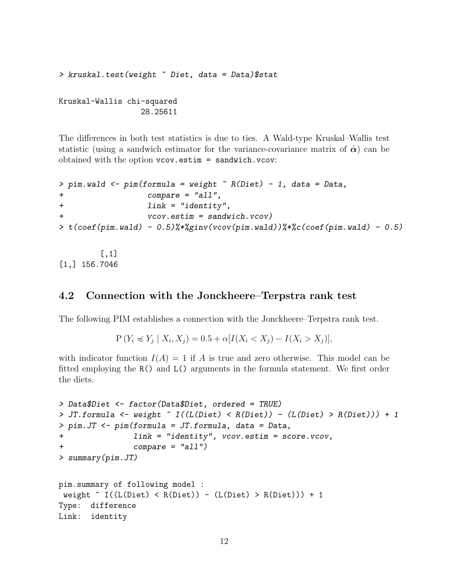```
> kruskal.test(weight ~ Diet, data = Data)$stat
```
Kruskal-Wallis chi-squared 28.25611

The differences in both test statistics is due to ties. A Wald-type Kruskal–Wallis test statistic (using a sandwich estimator for the variance-covariance matrix of  $\hat{\alpha}$ ) can be obtained with the option vcov.estim = sandwich.vcov:

```
> pim.wald <- pim(formula = weight K R(Diet) - 1, data = Data,
+ compare = "all",
+ link = "identity",
+ vcov.estim = sandwich.vcov)
> t(coef(pim.wald) - 0.5)%*%ginv(vcov(pim.wald))%*%c(coef(pim.wald) - 0.5)
```
[,1] [1,] 156.7046

#### <span id="page-11-0"></span>4.2 Connection with the Jonckheere–Terpstra rank test

The following PIM establishes a connection with the Jonckheere–Terpstra rank test.

 $P(Y_i \preccurlyeq Y_j | X_i, X_j) = 0.5 + \alpha [I(X_i < X_j) - I(X_i > X_j)],$ 

with indicator function  $I(A) = 1$  if A is true and zero otherwise. This model can be fitted employing the R() and L() arguments in the formula statement. We first order the diets.

```
> Data$Diet <- factor(Data$Diet, ordered = TRUE)
> JT.formula <- weight ~ I((L(Diet) < R(Diet)) - (L(Diet) > R(Diet))) + 1> pim.JT <- pim(formula = JT.formula, data = Data,
+ link = "identity", vcov.estim = score.vcov,
+ compare = "all")
> summary(pim.JT)
pim.summary of following model :
weight \sim I((L(Diet) < R(Diet)) - (L(Diet) > R(Diet))) + 1Type: difference
Link: identity
```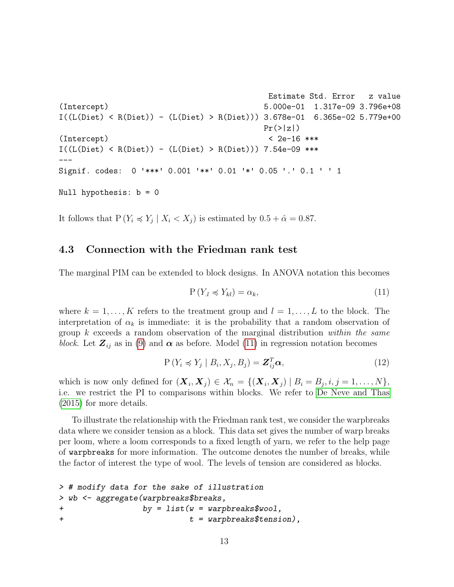```
Estimate Std. Error z value
(Intercept) 5.000e-01 1.317e-09 3.796e+08
I((L(Diet) < R(Diet)) - (L(Diet) > R(Diet))) 3.678e-01 6.365e-02 5.779e+00
                                     Pr(>|z|)(Intercept) < 2e-16 ***
I((L(Diet) < R(Diet)) - (L(Diet) > R(Diet))) 7.54e-09 ***
---
Signif. codes: 0 '***' 0.001 '**' 0.01 '*' 0.05 '.' 0.1 ' ' 1
Null hypothesis: b = 0
```
It follows that  $P(Y_i \preccurlyeq Y_j | X_i < X_j)$  is estimated by  $0.5 + \hat{\alpha} = 0.87$ .

#### <span id="page-12-0"></span>4.3 Connection with the Friedman rank test

The marginal PIM can be extended to block designs. In ANOVA notation this becomes

<span id="page-12-1"></span>
$$
P(Y_l \preccurlyeq Y_{kl}) = \alpha_k,\tag{11}
$$

where  $k = 1, \ldots, K$  refers to the treatment group and  $l = 1, \ldots, L$  to the block. The interpretation of  $\alpha_k$  is immediate: it is the probability that a random observation of group  $k$  exceeds a random observation of the marginal distribution within the same block. Let  $\mathbf{Z}_{ij}$  as in [\(9\)](#page-9-1) and  $\boldsymbol{\alpha}$  as before. Model [\(11\)](#page-12-1) in regression notation becomes

$$
P(Y_i \preccurlyeq Y_j \mid B_i, X_j, B_j) = \mathbf{Z}_{ij}^T \boldsymbol{\alpha},\tag{12}
$$

which is now only defined for  $(\boldsymbol{X}_i, \boldsymbol{X}_j) \in \mathcal{X}_n = \{(\boldsymbol{X}_i, \boldsymbol{X}_j) \mid B_i = B_j, i, j = 1, \dots, N\},\$ i.e. we restrict the PI to comparisons within blocks. We refer to [De Neve and Thas](#page-14-2) [\(2015\)](#page-14-2) for more details.

To illustrate the relationship with the Friedman rank test, we consider the warpbreaks data where we consider tension as a block. This data set gives the number of warp breaks per loom, where a loom corresponds to a fixed length of yarn, we refer to the help page of warpbreaks for more information. The outcome denotes the number of breaks, while the factor of interest the type of wool. The levels of tension are considered as blocks.

```
> # modify data for the sake of illustration
> wb <- aggregate(warpbreaks$breaks,
+ by = list(w = warpbreaks$wool,
+ t = warpbreaks$tension),
```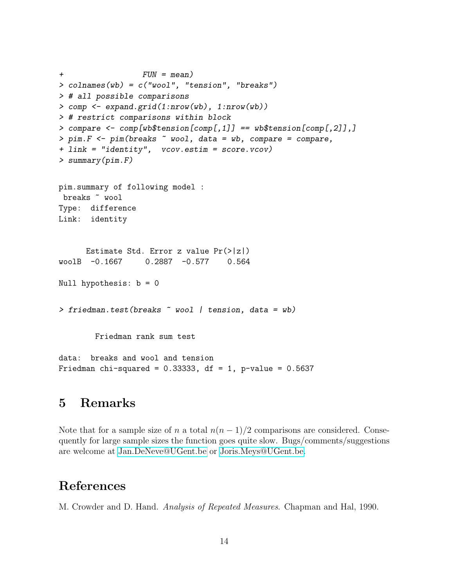```
+ FUN = mean)
> colnames(wb) = c("wool", "tension", "breaks")
> # all possible comparisons
> comp <- expand.grid(1:nrow(wb), 1:nrow(wb))
> # restrict comparisons within block
> compare \leq comp[wb$tension[comp[,1]] == wb$tension[comp[,2]],]
> pim. F <- pim(breaks \tilde{ } wool, data = wb, compare = compare,
+ link = "identity", vcov.estim = score.vcov)
> summary(pim.F)
pim.summary of following model :
 breaks ~ wool
Type: difference
Link: identity
     Estimate Std. Error z value Pr(>|z|)
woolB -0.1667 0.2887 -0.577 0.564
Null hypothesis: b = 0> friedman.test(breaks ~ wool | tension, data = wb)
        Friedman rank sum test
data: breaks and wool and tension
Friedman chi-squared = 0.33333, df = 1, p-value = 0.5637
```
## <span id="page-13-0"></span>5 Remarks

Note that for a sample size of n a total  $n(n-1)/2$  comparisons are considered. Consequently for large sample sizes the function goes quite slow. Bugs/comments/suggestions are welcome at [Jan.DeNeve@UGent.be](mailto:Jan.DeNeve@UGent.be) or [Joris.Meys@UGent.be.](mailto:Joris.Meys@UGent.be)

## References

<span id="page-13-1"></span>M. Crowder and D. Hand. Analysis of Repeated Measures. Chapman and Hal, 1990.